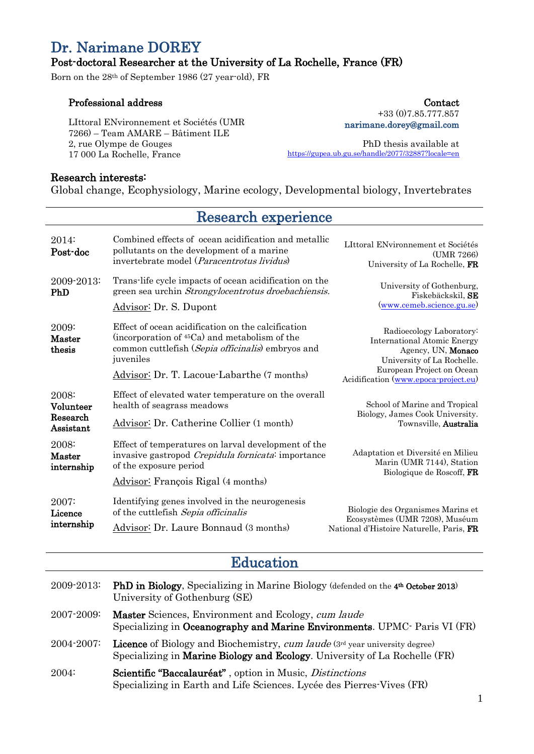# Dr. Narimane DOREY

### Post-doctoral Researcher at the University of La Rochelle, France (FR)

Born on the 28th of September 1986 (27 year-old), FR

#### Professional address

LIttoral ENvironnement et Sociétés (UMR 7266) – Team AMARE – Bâtiment ILE 2, rue Olympe de Gouges 17 000 La Rochelle, France

+33 (0)7.85.777.857 narimane.dorey@gmail.com

Contact

PhD thesis available at <https://gupea.ub.gu.se/handle/2077/32887?locale=en>

#### Research interests:

Global change, Ecophysiology, Marine ecology, Developmental biology, Invertebrates

Research experience

| 2014:<br>Post-doc                           | Combined effects of ocean acidification and metallic<br>pollutants on the development of a marine<br>invertebrate model ( <i>Paracentrotus lividus</i> )                          | LIttoral ENvironnement et Sociétés<br>(UMR 7266)<br>University of La Rochelle, FR                                                               |
|---------------------------------------------|-----------------------------------------------------------------------------------------------------------------------------------------------------------------------------------|-------------------------------------------------------------------------------------------------------------------------------------------------|
| 2009-2013:<br>PhD                           | Trans-life cycle impacts of ocean acidification on the<br>green sea urchin Strongylocentrotus droebachiensis.<br>Advisor: Dr. S. Dupont                                           | University of Gothenburg,<br>Fiskebäckskil, SE<br>(www.cemeb.science.gu.se)                                                                     |
| 2009:<br>Master<br>thesis                   | Effect of ocean acidification on the calcification<br>(incorporation of <sup>45</sup> Ca) and metabolism of the<br>common cuttlefish (Sepia officinalis) embryos and<br>juveniles | Radioecology Laboratory:<br><b>International Atomic Energy</b><br>Agency, UN, Monaco<br>University of La Rochelle.<br>European Project on Ocean |
|                                             | Advisor: Dr. T. Lacoue-Labarthe (7 months)                                                                                                                                        | Acidification (www.epoca-project.eu)                                                                                                            |
| 2008:<br>Volunteer<br>Research<br>Assistant | Effect of elevated water temperature on the overall<br>health of seagrass meadows<br>Advisor: Dr. Catherine Collier (1 month)                                                     | School of Marine and Tropical<br>Biology, James Cook University.<br>Townsville, <b>Australia</b>                                                |
| 2008:<br>Master<br>internship               | Effect of temperatures on larval development of the<br>invasive gastropod Crepidula fornicata: importance<br>of the exposure period<br><b>Advisor:</b> François Rigal (4 months)  | Adaptation et Diversité en Milieu<br>Marin (UMR 7144), Station<br>Biologique de Roscoff, FR                                                     |
| 2007:<br>Licence<br>internship              | Identifying genes involved in the neurogenesis<br>of the cuttlefish Sepia officinalis<br>Advisor: Dr. Laure Bonnaud (3 months)                                                    | Biologie des Organismes Marins et<br>Ecosystèmes (UMR 7208), Muséum<br>National d'Histoire Naturelle, Paris, FR                                 |

# Education

| 2009-2013: | <b>PhD in Biology</b> , Specializing in Marine Biology (defended on the 4 <sup>th</sup> October 2013)<br>University of Gothenburg (SE)                           |  |
|------------|------------------------------------------------------------------------------------------------------------------------------------------------------------------|--|
| 2007-2009: | <b>Master</b> Sciences, Environment and Ecology, cum laude<br>Specializing in Oceanography and Marine Environments. UPMC Paris VI (FR)                           |  |
| 2004-2007: | <b>Licence</b> of Biology and Biochemistry, cum laude (3rd year university degree)<br>Specializing in Marine Biology and Ecology. University of La Rochelle (FR) |  |
| 2004:      | <b>Scientific "Baccalauréat"</b> , option in Music, <i>Distinctions</i><br>Specializing in Earth and Life Sciences. Lycée des Pierres-Vives (FR)                 |  |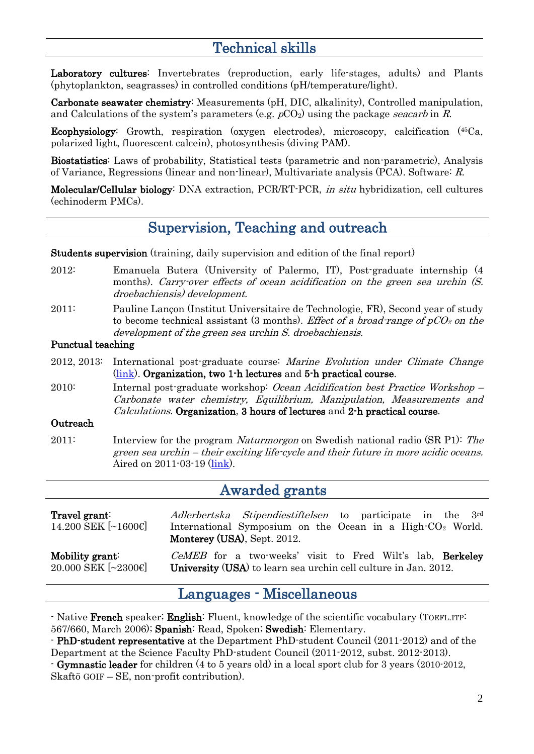# Technical skills

Laboratory cultures: Invertebrates (reproduction, early life-stages, adults) and Plants (phytoplankton, seagrasses) in controlled conditions (pH/temperature/light).

Carbonate seawater chemistry: Measurements (pH, DIC, alkalinity), Controlled manipulation, and Calculations of the system's parameters (e.g.  $pCO<sub>2</sub>$ ) using the package seacarb in R.

Ecophysiology: Growth, respiration (oxygen electrodes), microscopy, calcification (45Ca, polarized light, fluorescent calcein), photosynthesis (diving PAM).

Biostatistics: Laws of probability, Statistical tests (parametric and non-parametric), Analysis of Variance, Regressions (linear and non-linear), Multivariate analysis (PCA). Software: R.

Molecular/Cellular biology: DNA extraction, PCR/RT-PCR, in situ hybridization, cell cultures (echinoderm PMCs).

## Supervision, Teaching and outreach

Students supervision (training, daily supervision and edition of the final report)

- 2012: Emanuela Butera (University of Palermo, IT), Post-graduate internship (4 months). Carry-over effects of ocean acidification on the green sea urchin  $(S)$ . droebachiensis) development.
- 2011: Pauline Lançon (Institut Universitaire de Technologie, FR), Second year of study to become technical assistant (3 months). Effect of a broad-range of  $pCO<sub>2</sub>$  on the development of the green sea urchin S. droebachiensis.

#### Punctual teaching

2012, 2013: International post-graduate course: Marine Evolution under Climate Change [\(link\)](http://www.cemeb.science.gu.se/activities/courses/marine-evolutionary-biology-advanced-courses/cemeb-advanced-course-2012/). Organization, two 1-h lectures and 5-h practical course.

2010: Internal post-graduate workshop: Ocean Acidification best Practice Workshop – Carbonate water chemistry, Equilibrium, Manipulation, Measurements and Calculations. Organization, 3 hours of lectures and 2-h practical course.

#### **Outreach**

2011: Interview for the program *Naturmorgon* on Swedish national radio (SR P1): The green sea urchin – their exciting life-cycle and their future in more acidic oceans. Aired on 2011-03-19 [\(link\)](http://sverigesradio.se/sida/avsnitt/61517?programid=1027).

## Awarded grants

| Travel grant:<br>$14.200$ SEK $[\sim]1600 \in ]$ | Adlerbertska Stipendiestiftelsen to participate in the 3rd<br>International Symposium on the Ocean in a High-CO <sub>2</sub> World.<br>Monterey (USA), Sept. 2012. |
|--------------------------------------------------|--------------------------------------------------------------------------------------------------------------------------------------------------------------------|
| Mobility grant:                                  | CeMEB for a two-weeks' visit to Fred Wilt's lab, <b>Berkeley</b>                                                                                                   |
| $20.000$ SEK $[~23006]$                          | University (USA) to learn sea urchin cell culture in Jan. 2012.                                                                                                    |

## Languages - Miscellaneous

- Native French speaker; English: Fluent, knowledge of the scientific vocabulary (TOEFL.ITP: 567/660, March 2006); Spanish: Read, Spoken; Swedish: Elementary.

- PhD-student representative at the Department PhD-student Council (2011-2012) and of the Department at the Science Faculty PhD-student Council (2011-2012, subst. 2012-2013).

<sup>-</sup> Gymnastic leader for children (4 to 5 years old) in a local sport club for 3 years (2010-2012, Skaftö GOIF – SE, non-profit contribution).